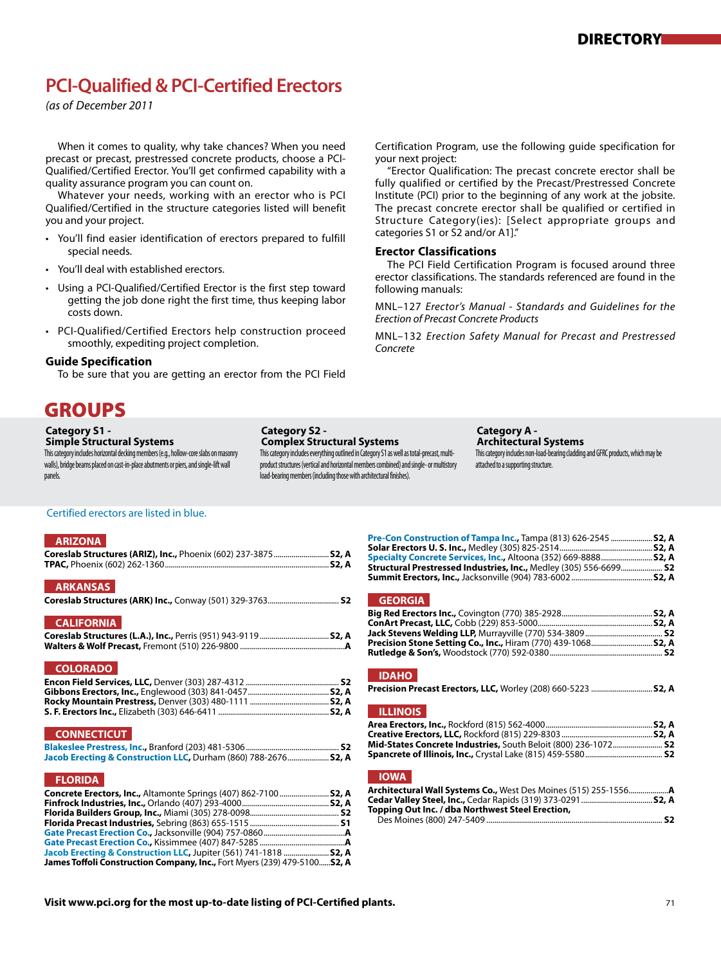# **PCI-Qualified & PCI-Certified Erectors**

*(as of December 2011*

When it comes to quality, why take chances? When you need precast or precast, prestressed concrete products, choose a PCI-Qualified/Certified Erector. You'll get confirmed capability with a quality assurance program you can count on.

 Whatever your needs, working with an erector who is PCI Qualified/Certified in the structure categories listed will benefit you and your project.

- You'll find easier identification of erectors prepared to fulfill special needs.
- You'll deal with established erectors.
- Using a PCI-Qualified/Certified Erector is the first step toward getting the job done right the first time, thus keeping labor costs down.
- PCI-Qualified/Certified Erectors help construction proceed smoothly, expediting project completion.

#### **Guide Specification**

To be sure that you are getting an erector from the PCI Field

## GROUPS

#### **Category S1 -**

#### **Simple Structural Systems**

This category includes horizontal decking members (e.g., hollow-core slabs on masonry walls), bridge beams placed on cast-in-place abutments or piers, and single-lift wall panels.

#### **Category S2 -**

#### **Complex Structural Systems**

This category includes everything outlined in Category S1 as well as total-precast, multiproduct structures (vertical and horizontal members combined) and single- or multistory load-bearing members (including those with architectural finishes).

Certification Program, use the following guide specification for your next project:

 "Erector Qualification: The precast concrete erector shall be fully qualified or certified by the Precast/Prestressed Concrete Institute (PCI) prior to the beginning of any work at the jobsite. The precast concrete erector shall be qualified or certified in Structure Category(ies): [Select appropriate groups and categories S1 or S2 and/or A1]."

#### **Erector Classifications**

 The PCI Field Certification Program is focused around three erector classifications. The standards referenced are found in the following manuals:

MNL–127 *Erector's Manual - Standards and Guidelines for the Erection of Precast Concrete Products*

MNL–132 *Erection Safety Manual for Precast and Prestressed Concrete*

**Category A -**

#### **Architectural Systems** This category includes non-load-bearing cladding and GFRC products, which may be attached to a supporting structure.

#### Certified erectors are listed in blue.

#### **ARIZONA**

| Coreslab Structures (ARIZ), Inc., Phoenix (602) 237-3875 S2, A |  |
|----------------------------------------------------------------|--|
| <b>ARKANSAS</b>                                                |  |
| <b>CALIFORNIA</b>                                              |  |
|                                                                |  |

#### **COLORADO**

#### **CONNECTICUT**

| Jacob Erecting & Construction LLC, Durham (860) 788-2676 S2, A |  |
|----------------------------------------------------------------|--|

#### **FLORIDA**

| Concrete Erectors, Inc., Altamonte Springs (407) 862-7100  S2, A          |  |
|---------------------------------------------------------------------------|--|
|                                                                           |  |
|                                                                           |  |
|                                                                           |  |
|                                                                           |  |
|                                                                           |  |
| Jacob Erecting & Construction LLC, Jupiter (561) 741-1818  52, A          |  |
| James Toffoli Construction Company, Inc., Fort Myers (239) 479-5100 S2, A |  |

| Pre-Con Construction of Tampa Inc., Tampa (813) 626-2545  S2, A   |  |
|-------------------------------------------------------------------|--|
|                                                                   |  |
| Specialty Concrete Services, Inc., Altoona (352) 669-8888 S2, A   |  |
| Structural Prestressed Industries, Inc., Medley (305) 556-6699 S2 |  |
|                                                                   |  |

#### **GEORGIA**

| Precision Stone Setting Co., Inc., Hiram (770) 439-1068 52, A |  |
|---------------------------------------------------------------|--|
|                                                               |  |
|                                                               |  |

#### **IDAHO**

| Precision Precast Erectors, LLC, Worley (208) 660-5223  S2, A |  |  |
|---------------------------------------------------------------|--|--|
|---------------------------------------------------------------|--|--|

#### **ILLINOIS**

| <b>Mid-States Concrete Industries, South Beloit (800) 236-1072 S2</b> |  |
|-----------------------------------------------------------------------|--|
|                                                                       |  |
|                                                                       |  |

## **IOWA**

| Topping Out Inc. / dba Northwest Steel Erection, |  |
|--------------------------------------------------|--|
|                                                  |  |